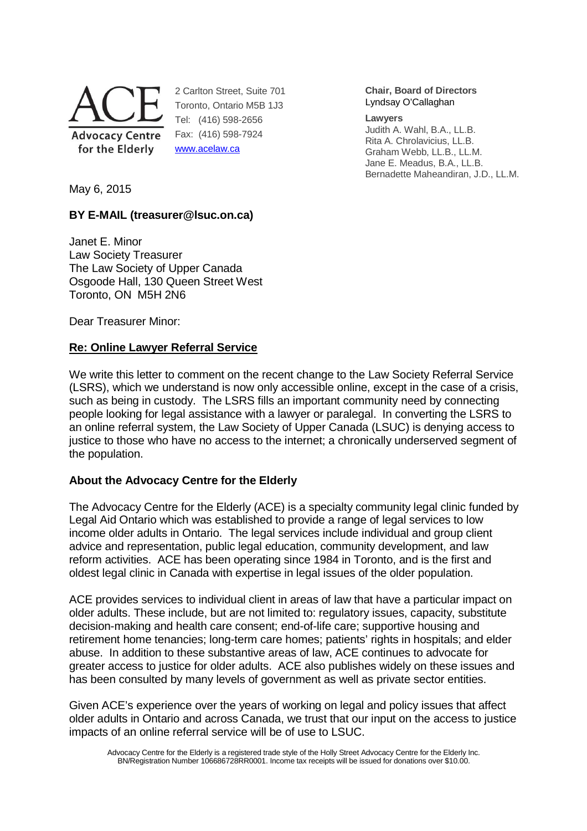

2 Carlton Street, Suite 701 Toronto, Ontario M5B 1J3 Tel: (416) 598-2656 Fax: (416) 598-7924 www.acelaw.ca

**Chair, Board of Directors** Lyndsay O'Callaghan

#### **Lawyers**

Judith A. Wahl, B.A., LL.B. Rita A. Chrolavicius, LL.B. Graham Webb, LL.B., LL.M. Jane E. Meadus, B.A., LL.B. Bernadette Maheandiran, J.D., LL.M.

May 6, 2015

# **BY E-MAIL (treasurer@lsuc.on.ca)**

Janet E. Minor Law Society Treasurer The Law Society of Upper Canada Osgoode Hall, 130 Queen Street West Toronto, ON M5H 2N6

Dear Treasurer Minor:

## **Re: Online Lawyer Referral Service**

We write this letter to comment on the recent change to the Law Society Referral Service (LSRS), which we understand is now only accessible online, except in the case of a crisis, such as being in custody. The LSRS fills an important community need by connecting people looking for legal assistance with a lawyer or paralegal. In converting the LSRS to an online referral system, the Law Society of Upper Canada (LSUC) is denying access to justice to those who have no access to the internet; a chronically underserved segment of the population.

## **About the Advocacy Centre for the Elderly**

The Advocacy Centre for the Elderly (ACE) is a specialty community legal clinic funded by Legal Aid Ontario which was established to provide a range of legal services to low income older adults in Ontario. The legal services include individual and group client advice and representation, public legal education, community development, and law reform activities. ACE has been operating since 1984 in Toronto, and is the first and oldest legal clinic in Canada with expertise in legal issues of the older population.

ACE provides services to individual client in areas of law that have a particular impact on older adults. These include, but are not limited to: regulatory issues, capacity, substitute decision-making and health care consent; end-of-life care; supportive housing and retirement home tenancies; long-term care homes; patients' rights in hospitals; and elder abuse. In addition to these substantive areas of law, ACE continues to advocate for greater access to justice for older adults. ACE also publishes widely on these issues and has been consulted by many levels of government as well as private sector entities.

Given ACE's experience over the years of working on legal and policy issues that affect older adults in Ontario and across Canada, we trust that our input on the access to justice impacts of an online referral service will be of use to LSUC.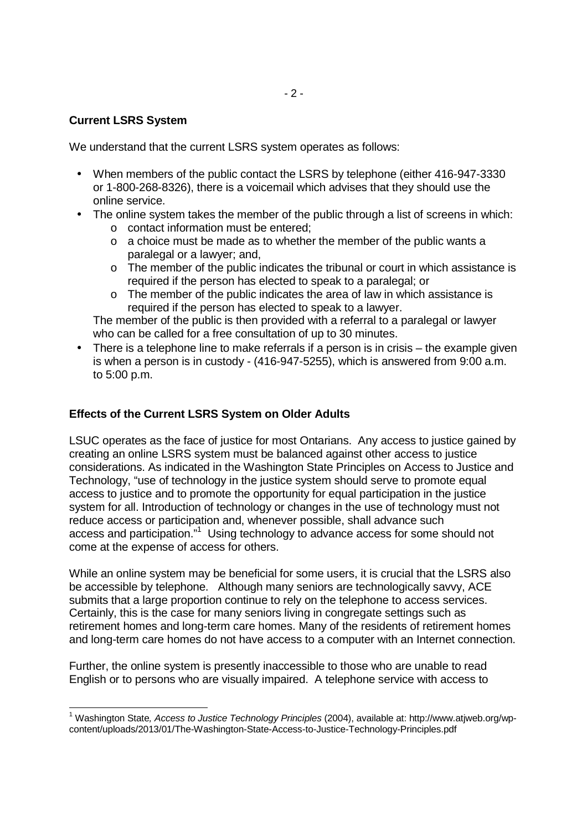## **Current LSRS System**

-

We understand that the current LSRS system operates as follows:

- When members of the public contact the LSRS by telephone (either 416-947-3330 or 1-800-268-8326), there is a voicemail which advises that they should use the online service.
- The online system takes the member of the public through a list of screens in which:
	- o contact information must be entered;
	- o a choice must be made as to whether the member of the public wants a paralegal or a lawyer; and,
	- o The member of the public indicates the tribunal or court in which assistance is required if the person has elected to speak to a paralegal; or
	- $\circ$  The member of the public indicates the area of law in which assistance is required if the person has elected to speak to a lawyer.

The member of the public is then provided with a referral to a paralegal or lawyer who can be called for a free consultation of up to 30 minutes.

• There is a telephone line to make referrals if a person is in crisis – the example given is when a person is in custody - (416-947-5255), which is answered from 9:00 a.m. to 5:00 p.m.

# **Effects of the Current LSRS System on Older Adults**

LSUC operates as the face of justice for most Ontarians. Any access to justice gained by creating an online LSRS system must be balanced against other access to justice considerations. As indicated in the Washington State Principles on Access to Justice and Technology, "use of technology in the justice system should serve to promote equal access to justice and to promote the opportunity for equal participation in the justice system for all. Introduction of technology or changes in the use of technology must not reduce access or participation and, whenever possible, shall advance such access and participation."<sup>1</sup> Using technology to advance access for some should not come at the expense of access for others.

While an online system may be beneficial for some users, it is crucial that the LSRS also be accessible by telephone. Although many seniors are technologically savvy, ACE submits that a large proportion continue to rely on the telephone to access services. Certainly, this is the case for many seniors living in congregate settings such as retirement homes and long-term care homes. Many of the residents of retirement homes and long-term care homes do not have access to a computer with an Internet connection.

Further, the online system is presently inaccessible to those who are unable to read English or to persons who are visually impaired. A telephone service with access to

<sup>&</sup>lt;sup>1</sup> Washington State, Access to Justice Technology Principles (2004), available at: http://www.atjweb.org/wpcontent/uploads/2013/01/The-Washington-State-Access-to-Justice-Technology-Principles.pdf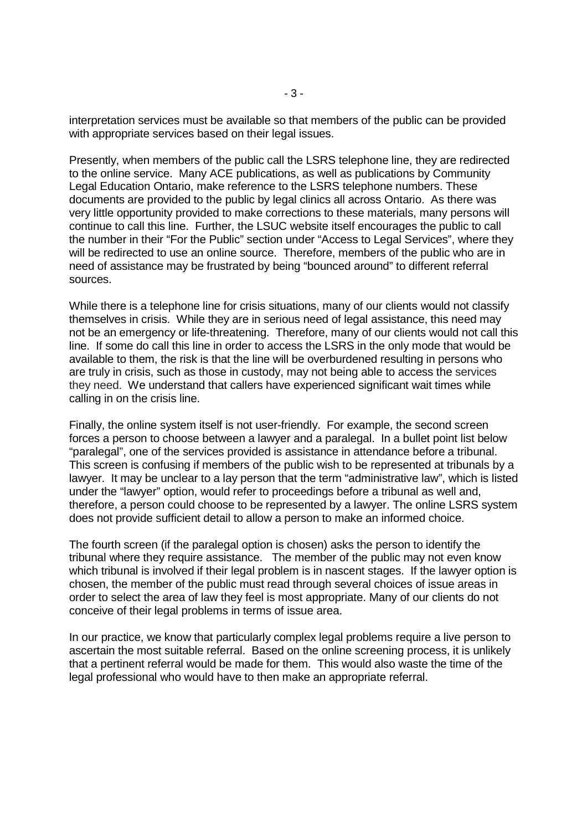interpretation services must be available so that members of the public can be provided with appropriate services based on their legal issues.

Presently, when members of the public call the LSRS telephone line, they are redirected to the online service. Many ACE publications, as well as publications by Community Legal Education Ontario, make reference to the LSRS telephone numbers. These documents are provided to the public by legal clinics all across Ontario. As there was very little opportunity provided to make corrections to these materials, many persons will continue to call this line. Further, the LSUC website itself encourages the public to call the number in their "For the Public" section under "Access to Legal Services", where they will be redirected to use an online source. Therefore, members of the public who are in need of assistance may be frustrated by being "bounced around" to different referral sources.

While there is a telephone line for crisis situations, many of our clients would not classify themselves in crisis. While they are in serious need of legal assistance, this need may not be an emergency or life-threatening. Therefore, many of our clients would not call this line. If some do call this line in order to access the LSRS in the only mode that would be available to them, the risk is that the line will be overburdened resulting in persons who are truly in crisis, such as those in custody, may not being able to access the services they need. We understand that callers have experienced significant wait times while calling in on the crisis line.

Finally, the online system itself is not user-friendly. For example, the second screen forces a person to choose between a lawyer and a paralegal. In a bullet point list below "paralegal", one of the services provided is assistance in attendance before a tribunal. This screen is confusing if members of the public wish to be represented at tribunals by a lawyer. It may be unclear to a lay person that the term "administrative law", which is listed under the "lawyer" option, would refer to proceedings before a tribunal as well and, therefore, a person could choose to be represented by a lawyer. The online LSRS system does not provide sufficient detail to allow a person to make an informed choice.

The fourth screen (if the paralegal option is chosen) asks the person to identify the tribunal where they require assistance. The member of the public may not even know which tribunal is involved if their legal problem is in nascent stages. If the lawyer option is chosen, the member of the public must read through several choices of issue areas in order to select the area of law they feel is most appropriate. Many of our clients do not conceive of their legal problems in terms of issue area.

In our practice, we know that particularly complex legal problems require a live person to ascertain the most suitable referral. Based on the online screening process, it is unlikely that a pertinent referral would be made for them. This would also waste the time of the legal professional who would have to then make an appropriate referral.